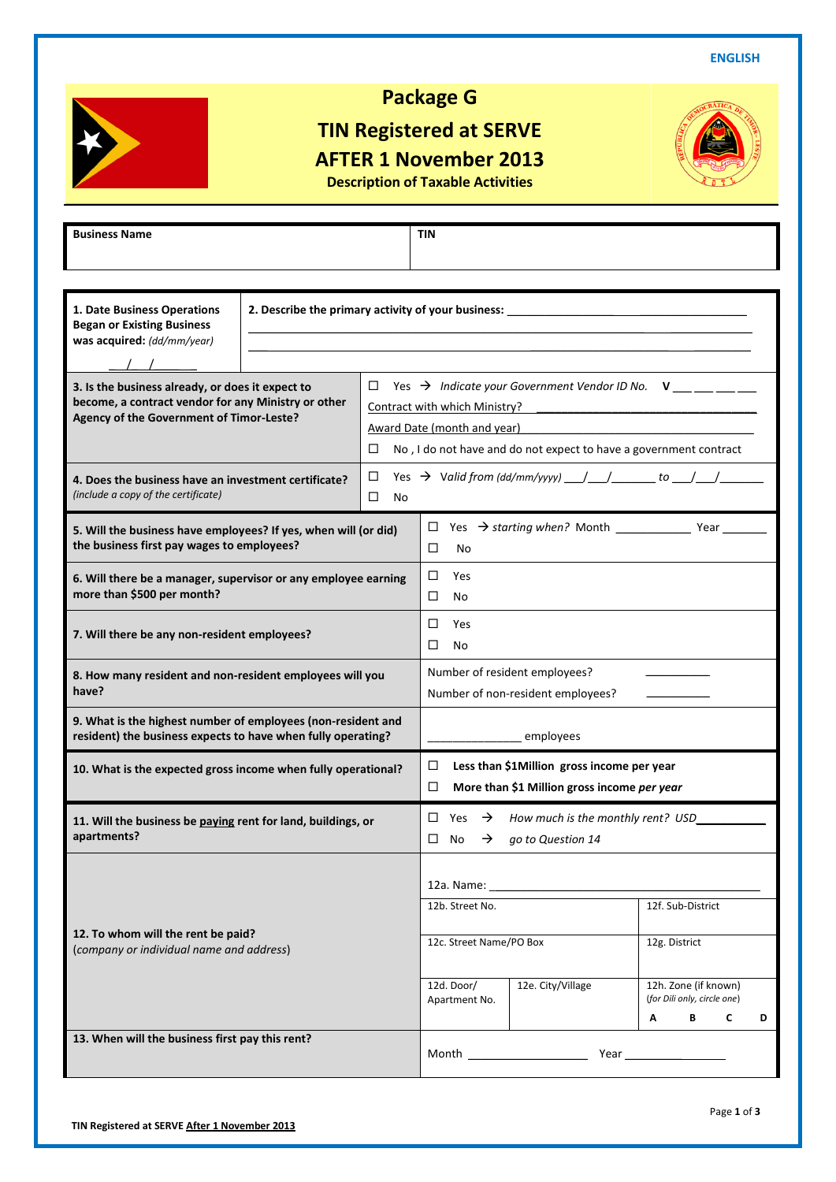**ENGLISH**



# **Package G**

## **TIN Registered at SERVE AFTER 1 November 2013 Description of Taxable Activities**

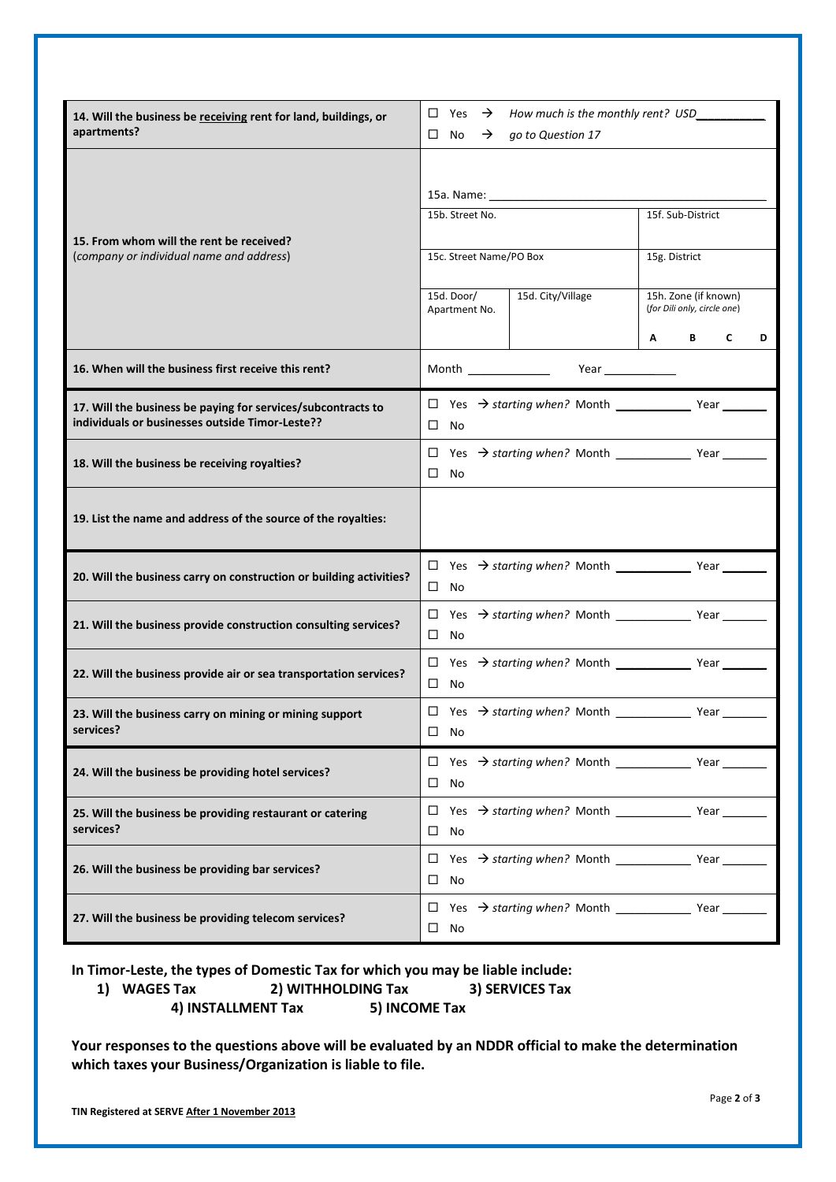| 14. Will the business be receiving rent for land, buildings, or<br>apartments?                                  | $\Box$ Yes $\rightarrow$ How much is the monthly rent? USD<br>$\square$ No<br>$\rightarrow$<br>go to Question 17 |                                                     |  |  |
|-----------------------------------------------------------------------------------------------------------------|------------------------------------------------------------------------------------------------------------------|-----------------------------------------------------|--|--|
|                                                                                                                 |                                                                                                                  |                                                     |  |  |
| 15. From whom will the rent be received?<br>(company or individual name and address)                            | 15b. Street No.                                                                                                  | 15f. Sub-District                                   |  |  |
|                                                                                                                 | 15c. Street Name/PO Box                                                                                          | 15g. District                                       |  |  |
|                                                                                                                 | 15d. Door/<br>15d. City/Village<br>Apartment No.                                                                 | 15h. Zone (if known)<br>(for Dili only, circle one) |  |  |
|                                                                                                                 |                                                                                                                  | A<br>B<br>C<br>D                                    |  |  |
| 16. When will the business first receive this rent?                                                             | Month <b>Month</b>                                                                                               |                                                     |  |  |
| 17. Will the business be paying for services/subcontracts to<br>individuals or businesses outside Timor-Leste?? | $\square$ No                                                                                                     |                                                     |  |  |
| 18. Will the business be receiving royalties?                                                                   | $\Box$<br>$\square$ No                                                                                           |                                                     |  |  |
| 19. List the name and address of the source of the royalties:                                                   |                                                                                                                  |                                                     |  |  |
| 20. Will the business carry on construction or building activities?                                             | $\square$ No                                                                                                     |                                                     |  |  |
| 21. Will the business provide construction consulting services?                                                 | $\square$ No                                                                                                     |                                                     |  |  |
| 22. Will the business provide air or sea transportation services?                                               | $\square$ No                                                                                                     |                                                     |  |  |
| 23. Will the business carry on mining or mining support<br>services?                                            | $\square$ No                                                                                                     |                                                     |  |  |
| 24. Will the business be providing hotel services?                                                              | $\square$ No                                                                                                     |                                                     |  |  |
| 25. Will the business be providing restaurant or catering<br>services?                                          | □<br>$\Box$<br>No                                                                                                |                                                     |  |  |
| 26. Will the business be providing bar services?                                                                | □<br>No                                                                                                          |                                                     |  |  |
| 27. Will the business be providing telecom services?                                                            | $\square$ No                                                                                                     |                                                     |  |  |

**In Timor-Leste, the types of Domestic Tax for which you may be liable include:**

**1) WAGES Tax 2) WITHHOLDING Tax 3) SERVICES Tax 4) INSTALLMENT Tax 5) INCOME Tax**

**Your responses to the questions above will be evaluated by an NDDR official to make the determination which taxes your Business/Organization is liable to file.**